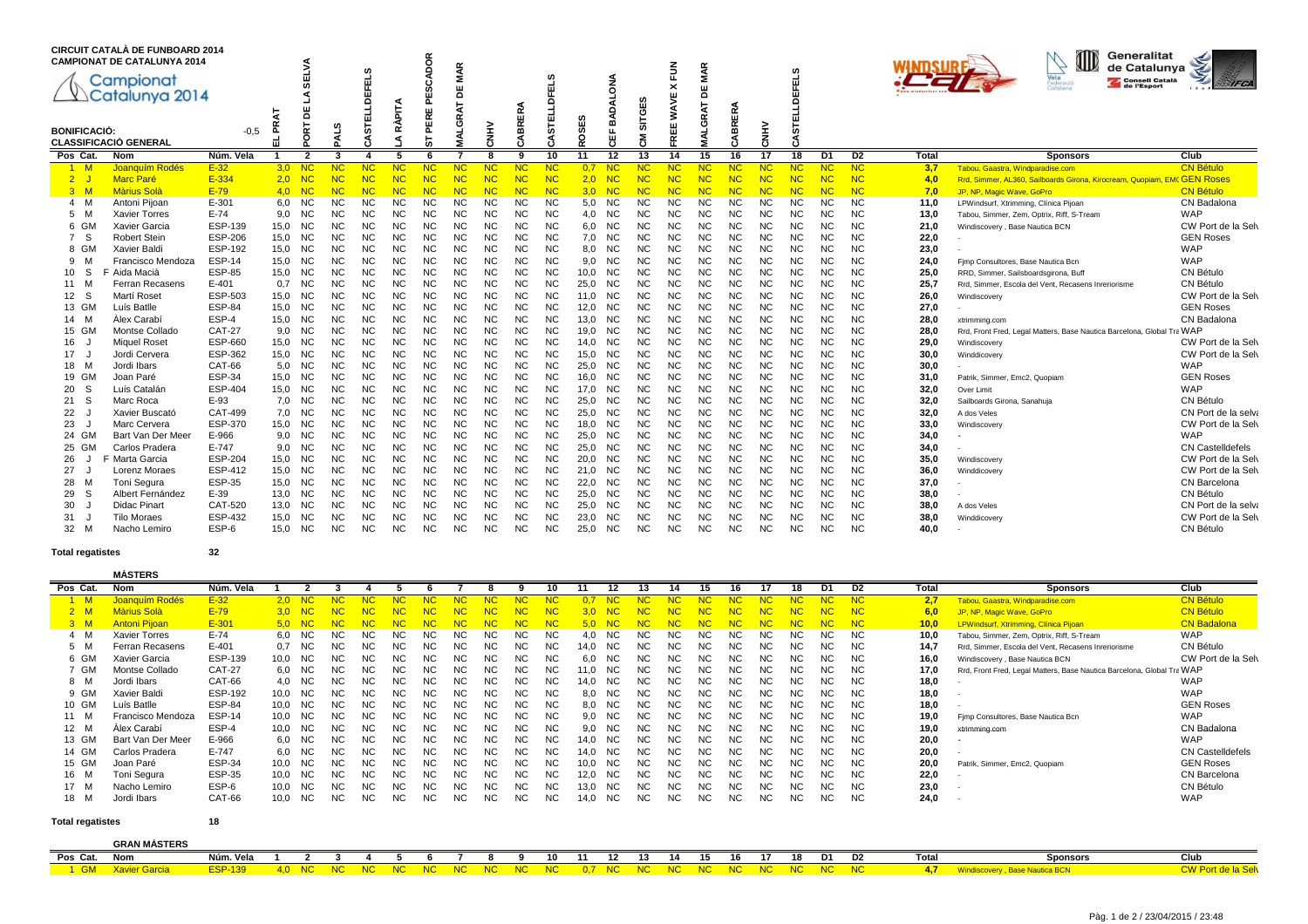|                     | <b>CIRCUIT CATALÀ DE FUNBOARD 2014</b><br><b>CAMPIONAT DE CATALUNYA 2014</b><br>Campionat<br>Catalunya 2014 |                                 | হ            | $\Omega$               | c                      | EFELS<br>흑<br>ш        | Ě<br>⋖                 | ğ<br>$\mathbf{a}$<br>ш<br>ᄒ<br>ш | <b>MAR</b><br>붐<br>œ   |                        | BRERA                  | U.<br>π<br>画           | SES              | ă<br>o<br>≃                 | ഗ<br><b>SITGE</b>      | 줄<br>×<br>ш<br>ÑM<br>ш | <b>MAR</b><br>ш<br>ō<br>RAT | ABRERA                      |                        | m<br>ᆔ<br>而<br>$\Omega$ |                        |                             |              | Generalitat<br>de Catalunya<br>Vela<br><b>Consell Català</b><br>Federació<br>de l'Esport | <b>IFCA</b>                            |
|---------------------|-------------------------------------------------------------------------------------------------------------|---------------------------------|--------------|------------------------|------------------------|------------------------|------------------------|----------------------------------|------------------------|------------------------|------------------------|------------------------|------------------|-----------------------------|------------------------|------------------------|-----------------------------|-----------------------------|------------------------|-------------------------|------------------------|-----------------------------|--------------|------------------------------------------------------------------------------------------|----------------------------------------|
| <b>BONIFICACIÓ:</b> | <b>CLASSIFICACIÓ GENERAL</b>                                                                                | $-0.5$                          | £<br>ᆔ       | 눈<br>C                 | ⋖                      | <b>STI</b>             | œ                      | ᄘ                                | ୍ର                     | NHN                    | "                      | 淸                      | ğ                | 쁂                           | ξ                      | ш<br>$\sim$            | ្ម                          |                             | <b>NHN</b>             | 5                       |                        |                             |              |                                                                                          |                                        |
| Pos Cat.            | <b>Nom</b>                                                                                                  | Núm. Vela                       |              | 2                      | 3                      | 4                      | 5                      |                                  |                        | 8                      | ۰Q                     | 10                     | 11               | 12                          | 13                     | 14                     | 15                          | 16                          | 17                     | 18                      | D <sub>1</sub>         | D <sub>2</sub>              | <b>Total</b> | <b>Sponsors</b>                                                                          | Club                                   |
| 1 M                 | Joanquím Rodés                                                                                              | $E-32$                          | 3,0          | NC                     |                        | NC                     | NC                     | NC.                              | NC                     | <b>NC</b>              | NC                     | NC                     | 0.7              | NC                          | <b>NC</b>              | <b>NC</b>              | NC                          | <b>NC</b>                   | NC                     | NC.                     | <b>NC</b>              | <b>NC</b>                   | 3,7          | Tabou, Gaastra, Windparadise.com                                                         | <b>CN Bétulo</b>                       |
| $2^{\circ}$         | <b>Marc Paré</b>                                                                                            | E-334                           | 2.0          | <b>NC</b>              | <b>NC</b>              | NC                     | NC                     | <b>NC</b>                        | NC                     | NC                     | <b>NC</b>              | <b>NC</b>              | 2.0              | <b>NC</b>                   | <b>NC</b>              | <b>NC</b>              | NC                          | <b>NC</b>                   | NC                     | NC                      | NC                     | <b>NC</b>                   | 4.0          | Rrd, Simmer, AL360, Sailboards Girona, Kirocream, Quopiam, EMC GEN ROSes                 |                                        |
| 3 M                 | <b>Màrius Solà</b>                                                                                          | $E-79$                          | 4.0          | NC                     | NC                     | <b>NC</b>              | NC                     | <b>NC</b>                        | <b>NC</b>              | <b>NC</b>              | NC                     | <b>NC</b>              | 3.0 <sub>1</sub> | NC                          | NC                     | <b>NC</b>              | <b>NC</b>                   | <b>NC</b>                   | NC                     | <b>NC</b>               | <b>NC</b>              | <b>NC</b>                   | 7.0          | JP. NP. Magic Wave, GoPro                                                                | <b>CN Bétulo</b>                       |
| M<br>$\overline{4}$ | Antoni Pijoan                                                                                               | $E - 301$                       | 6,0          | <b>NC</b>              | <b>NC</b>              | <b>NC</b>              | <b>NC</b>              | <b>NC</b>                        | <b>NC</b>              | <b>NC</b>              | <b>NC</b>              | <b>NC</b>              | 5,0              | <b>NC</b>                   | <b>NC</b>              | <b>NC</b>              | <b>NC</b>                   | <b>NC</b>                   | <b>NC</b>              | <b>NC</b>               | <b>NC</b>              | <b>NC</b>                   | 11.0         | LPWindsurf, Xtrimming, Clínica Pijoan                                                    | CN Badalona                            |
| 5<br>м              | <b>Xavier Torres</b>                                                                                        | $E-74$                          | 9,0          | <b>NC</b>              | <b>NC</b>              | <b>NC</b>              | <b>NC</b>              | <b>NC</b>                        | <b>NC</b>              | <b>NC</b>              | <b>NC</b>              | <b>NC</b>              | 4,0              | <b>NC</b>                   | <b>NC</b>              | NC                     | <b>NC</b>                   | <b>NC</b>                   | <b>NC</b>              | <b>NC</b>               | <b>NC</b>              | <b>NC</b>                   | 13,0         | Tabou, Simmer, Zem, Optrix, Riff, S-Tream                                                | WAP                                    |
| 6 GM                | Xavier Garcia                                                                                               | ESP-139                         | 15.0         | <b>NC</b>              | <b>NC</b>              | <b>NC</b>              | <b>NC</b>              | N <sub>C</sub>                   | N <sub>C</sub>         | N <sub>C</sub>         | <b>NC</b>              | <b>NC</b>              | 6.0              | N <sub>C</sub>              | <b>NC</b>              | <b>NC</b>              | N <sub>C</sub>              | <b>NC</b>                   | <b>NC</b>              | <b>NC</b>               | <b>NC</b>              | N <sub>C</sub>              | 21.0         | Windiscovery, Base Nautica BCN                                                           | CW Port de la Selv                     |
| S<br>$\overline{7}$ | <b>Robert Stein</b>                                                                                         | <b>ESP-206</b>                  | 15,0         | <b>NC</b>              | <b>NC</b>              | <b>NC</b>              | <b>NC</b>              | <b>NC</b>                        | <b>NC</b>              | <b>NC</b>              | <b>NC</b>              | <b>NC</b>              | 7,0              | <b>NC</b>                   | <b>NC</b>              | <b>NC</b>              | <b>NC</b>                   | <b>NC</b>                   | <b>NC</b>              | <b>NC</b>               | <b>NC</b>              | <b>NC</b>                   | 22,0         |                                                                                          | <b>GEN Roses</b>                       |
| 8 GM                | Xavier Baldi                                                                                                | <b>ESP-192</b>                  | 15,0         | <b>NC</b>              | <b>NC</b>              | <b>NC</b>              | <b>NC</b>              | NC                               | <b>NC</b>              | <b>NC</b>              | <b>NC</b>              | <b>NC</b>              | 8,0              | <b>NC</b>                   | <b>NC</b>              | <b>NC</b>              | <b>NC</b>                   | <b>NC</b>                   | <b>NC</b>              | <b>NC</b>               | <b>NC</b>              | <b>NC</b>                   | 23,0         |                                                                                          | WAP                                    |
| 9<br>N              | Francisco Mendoza                                                                                           | <b>ESP-14</b>                   | 15,0         | <b>NC</b>              | <b>NC</b>              | <b>NC</b>              | <b>NC</b>              | <b>NC</b>                        | <b>NC</b>              | <b>NC</b>              | <b>NC</b>              | <b>NC</b>              | 9,0              | <b>NC</b>                   | <b>NC</b>              |                        | <b>NC</b>                   | <b>NC</b>                   | <b>NC</b>              | NC                      | <b>NC</b>              | <b>NC</b>                   | 24,0         | Fimp Consultores, Base Nautica Bcn                                                       | <b>WAP</b>                             |
| <sub>S</sub><br>10  | F Aida Macià                                                                                                | <b>ESP-85</b>                   | 15,0         | <b>NC</b>              | <b>NC</b>              | <b>NC</b>              | <b>NC</b>              | <b>NC</b>                        | <b>NC</b>              | <b>NC</b>              | <b>NC</b>              | <b>NC</b>              | 10.0             | <b>NC</b>                   | <b>NC</b>              |                        | <b>NC</b>                   | <b>NC</b>                   | <b>NC</b>              | <b>NC</b>               | <b>NC</b>              | <b>NC</b>                   | 25,0         | RRD, Simmer, Sailsboardsgirona, Buff                                                     | CN Bétulo                              |
| 11<br>м             | Ferran Recasens<br>Martí Roset                                                                              | $E - 401$                       | 0.7          | <b>NC</b>              | <b>NC</b>              | <b>NC</b>              | <b>NC</b>              | <b>NC</b>                        | <b>NC</b>              | <b>NC</b>              | <b>NC</b>              | <b>NC</b>              | 25.0             | <b>NC</b>                   | <b>NC</b>              |                        | <b>NC</b>                   | <b>NC</b>                   | <b>NC</b>              | <b>NC</b>               | <b>NC</b>              | <b>NC</b>                   | 25.7         | Rrd. Simmer, Escola del Vent, Recasens Inreriorisme                                      | CN Bétulo                              |
| - S<br>12<br>13 GM  | Luís Batlle                                                                                                 | <b>ESP-503</b><br><b>ESP-84</b> | 15,0<br>15,0 | <b>NC</b><br><b>NC</b> | <b>NC</b><br><b>NC</b> | <b>NC</b><br><b>NC</b> | <b>NC</b><br><b>NC</b> | NC<br><b>NC</b>                  | <b>NC</b><br><b>NC</b> | <b>NC</b><br><b>NC</b> | <b>NC</b><br><b>NC</b> | <b>NC</b><br><b>NC</b> | 11.0             | <b>NC</b><br>N <sub>C</sub> | <b>NC</b>              | NC                     | <b>NC</b><br><b>NC</b>      | <b>NC</b><br>N <sub>C</sub> | <b>NC</b><br><b>NC</b> | NC<br><b>NC</b>         | <b>NC</b><br><b>NC</b> | <b>NC</b><br>N <sub>C</sub> | 26,0<br>27,0 | Windiscovery                                                                             | CW Port de la Selv<br><b>GEN Roses</b> |
| 14 M                | Àlex Carabí                                                                                                 | ESP-4                           | 15,0         | <b>NC</b>              | <b>NC</b>              | <b>NC</b>              | <b>NC</b>              | <b>NC</b>                        | <b>NC</b>              | <b>NC</b>              | <b>NC</b>              | <b>NC</b>              | 12,0<br>13.0     | <b>NC</b>                   | <b>NC</b><br><b>NC</b> | ΝC<br><b>NC</b>        | <b>NC</b>                   | <b>NC</b>                   | <b>NC</b>              | <b>NC</b>               | <b>NC</b>              | <b>NC</b>                   | 28,0         |                                                                                          | CN Badalona                            |
| 15 GM               | Montse Collado                                                                                              | <b>CAT-27</b>                   | 9,0          | <b>NC</b>              | <b>NC</b>              | <b>NC</b>              | <b>NC</b>              | NC                               | <b>NC</b>              | NC                     | NC                     | NC                     | 19.0             | <b>NC</b>                   | <b>NC</b>              | NC                     | <b>NC</b>                   | <b>NC</b>                   | NC                     | <b>NC</b>               | <b>NC</b>              | N <sub>C</sub>              | 28,0         | xtrimming.com<br>Rrd, Front Fred, Legal Matters, Base Nautica Barcelona, Global Tra WAP  |                                        |
| 16                  | <b>Miquel Roset</b>                                                                                         | <b>ESP-660</b>                  | 15,0         | <b>NC</b>              | <b>NC</b>              | <b>NC</b>              | <b>NC</b>              | <b>NC</b>                        | <b>NC</b>              | <b>NC</b>              | <b>NC</b>              | <b>NC</b>              | 14.0             | <b>NC</b>                   | <b>NC</b>              | <b>NC</b>              | <b>NC</b>                   | <b>NC</b>                   | <b>NC</b>              | <b>NC</b>               | <b>NC</b>              | N <sub>C</sub>              | 29,0         |                                                                                          | CW Port de la Selv                     |
| 17                  | Jordi Cervera                                                                                               | <b>ESP-362</b>                  | 15,0         | <b>NC</b>              | <b>NC</b>              | <b>NC</b>              | <b>NC</b>              | ΝC                               | <b>NC</b>              | <b>NC</b>              | <b>NC</b>              | <b>NC</b>              | 15.0             | <b>NC</b>                   | <b>NC</b>              | ΝC                     | <b>NC</b>                   | <b>NC</b>                   | <b>NC</b>              | <b>NC</b>               | <b>NC</b>              | <b>NC</b>                   | 30.0         | Windiscovery<br>Winddicovery                                                             | CW Port de la Selv                     |
| 18 M                | Jordi Ibars                                                                                                 | <b>CAT-66</b>                   | 5,0          | <b>NC</b>              | <b>NC</b>              | <b>NC</b>              | <b>NC</b>              | <b>NC</b>                        | <b>NC</b>              | <b>NC</b>              | <b>NC</b>              | <b>NC</b>              | 25.0             | <b>NC</b>                   | <b>NC</b>              | <b>NC</b>              | <b>NC</b>                   | <b>NC</b>                   | <b>NC</b>              | <b>NC</b>               | <b>NC</b>              | <b>NC</b>                   | 30.0         |                                                                                          | WAP                                    |
| 19 GM               | Joan Paré                                                                                                   | <b>ESP-34</b>                   | 15,0         | <b>NC</b>              | <b>NC</b>              | <b>NC</b>              | <b>NC</b>              | NC                               | <b>NC</b>              | <b>NC</b>              | <b>NC</b>              | <b>NC</b>              | 16.0             | <b>NC</b>                   | <b>NC</b>              | ΝC                     | <b>NC</b>                   | <b>NC</b>                   | <b>NC</b>              | <b>NC</b>               | <b>NC</b>              | N <sub>C</sub>              | 31.0         | Patrik, Simmer, Emc2, Quopiam                                                            | <b>GEN Roses</b>                       |
| S<br>20             | Luís Catalán                                                                                                | <b>ESP-404</b>                  | 15,0         | <b>NC</b>              | <b>NC</b>              | <b>NC</b>              | <b>NC</b>              | <b>NC</b>                        | <b>NC</b>              | <b>NC</b>              | <b>NC</b>              | <b>NC</b>              | 17.0             | <b>NC</b>                   | <b>NC</b>              | <b>NC</b>              | <b>NC</b>                   | <b>NC</b>                   | <b>NC</b>              | <b>NC</b>               | <b>NC</b>              | N <sub>C</sub>              | 32,0         | Over Limit                                                                               | <b>WAP</b>                             |
| -S<br>21            | Marc Roca                                                                                                   | $E-93$                          | 7.0          | <b>NC</b>              | <b>NC</b>              | <b>NC</b>              | <b>NC</b>              | <b>NC</b>                        | <b>NC</b>              | <b>NC</b>              | <b>NC</b>              | <b>NC</b>              | 25.0             | <b>NC</b>                   | <b>NC</b>              | <b>NC</b>              |                             | <b>NC</b>                   | <b>NC</b>              | <b>NC</b>               | <b>NC</b>              | <b>NC</b>                   | 32.0         | Sailboards Girona, Sanahuia                                                              | CN Bétulo                              |
| 22                  | Xavier Buscató                                                                                              | <b>CAT-499</b>                  | 7,0          | <b>NC</b>              | <b>NC</b>              | <b>NC</b>              | <b>NC</b>              | <b>NC</b>                        | <b>NC</b>              | <b>NC</b>              | <b>NC</b>              | <b>NC</b>              | 25,0             | <b>NC</b>                   | <b>NC</b>              | <b>NC</b>              | <b>NC</b>                   | <b>NC</b>                   | <b>NC</b>              | <b>NC</b>               | <b>NC</b>              | <b>NC</b>                   | 32,0         | A dos Veles                                                                              | CN Port de la selva                    |
| 23                  | Marc Cervera                                                                                                | <b>ESP-370</b>                  | 15,0         | <b>NC</b>              | <b>NC</b>              | <b>NC</b>              | <b>NC</b>              | ΝC                               | <b>NC</b>              | <b>NC</b>              | <b>NC</b>              | <b>NC</b>              | 18.0             | <b>NC</b>                   | <b>NC</b>              | ΝC                     | <b>NC</b>                   | <b>NC</b>                   | <b>NC</b>              | <b>NC</b>               | <b>NC</b>              | <b>NC</b>                   | 33,0         | Windiscovery                                                                             | CW Port de la Selv                     |
| 24 GM               | Bart Van Der Meer                                                                                           | E-966                           | 9,0          | <b>NC</b>              | <b>NC</b>              | <b>NC</b>              | <b>NC</b>              | <b>NC</b>                        | <b>NC</b>              | <b>NC</b>              | <b>NC</b>              | <b>NC</b>              | 25.0             | <b>NC</b>                   | <b>NC</b>              | <b>NC</b>              | <b>NC</b>                   | <b>NC</b>                   | <b>NC</b>              | <b>NC</b>               | <b>NC</b>              | <b>NC</b>                   | 34,0         |                                                                                          | <b>WAP</b>                             |
| 25 GM               | Carlos Pradera                                                                                              | E-747                           | 9,0          | <b>NC</b>              | <b>NC</b>              | <b>NC</b>              | <b>NC</b>              | <b>NC</b>                        | <b>NC</b>              | <b>NC</b>              | <b>NC</b>              | <b>NC</b>              | 25.0             | <b>NC</b>                   | <b>NC</b>              |                        | <b>NC</b>                   | <b>NC</b>                   | <b>NC</b>              | <b>NC</b>               | <b>NC</b>              | <b>NC</b>                   | 34.0         |                                                                                          | <b>CN Castelldefels</b>                |
| 26                  | F Marta Garcia                                                                                              | <b>ESP-204</b>                  | 15,0         | <b>NC</b>              | <b>NC</b>              | <b>NC</b>              | NC                     | ΝC                               | <b>NC</b>              | NC                     | NC                     | NC                     | 20,0             | <b>NC</b>                   | <b>NC</b>              | ΝC                     | <b>NC</b>                   | ΝC                          | NC                     | NC                      | <b>NC</b>              | N <sub>C</sub>              | 35,0         | Windiscovery                                                                             | CW Port de la Selv                     |
| 27                  | Lorenz Moraes                                                                                               | ESP-412                         | 15,0         | <b>NC</b>              | <b>NC</b>              | <b>NC</b>              | <b>NC</b>              | <b>NC</b>                        | <b>NC</b>              | <b>NC</b>              | <b>NC</b>              | <b>NC</b>              | 21.0             | <b>NC</b>                   | <b>NC</b>              | <b>NC</b>              | <b>NC</b>                   | <b>NC</b>                   | <b>NC</b>              | NC                      | <b>NC</b>              | N <sub>C</sub>              | 36,0         | Winddicovery                                                                             | CW Port de la Selv                     |
| 28<br>M             | Toni Segura                                                                                                 | <b>ESP-35</b>                   | 15,0         | <b>NC</b>              | <b>NC</b>              | <b>NC</b>              | <b>NC</b>              | <b>NC</b>                        | <b>NC</b>              | <b>NC</b>              | <b>NC</b>              | <b>NC</b>              | 22,0             | <b>NC</b>                   | <b>NC</b>              | ΝC                     | <b>NC</b>                   | <b>NC</b>                   | <b>NC</b>              | <b>NC</b>               | <b>NC</b>              | <b>NC</b>                   | 37.0         |                                                                                          | CN Barcelona                           |
| -S<br>29            | Albert Fernández                                                                                            | E-39                            | 13,0         | <b>NC</b>              | <b>NC</b>              | <b>NC</b>              | <b>NC</b>              | NC                               | <b>NC</b>              | <b>NC</b>              | <b>NC</b>              | <b>NC</b>              | 25,0             | <b>NC</b>                   | <b>NC</b>              | NC                     | <b>NC</b>                   | <b>NC</b>                   | <b>NC</b>              | <b>NC</b>               | <b>NC</b>              | <b>NC</b>                   | 38,0         |                                                                                          | CN Bétulo                              |
| 30                  | <b>Didac Pinart</b>                                                                                         | <b>CAT-520</b>                  | 13,0         | <b>NC</b>              | <b>NC</b>              | <b>NC</b>              | <b>NC</b>              | NC                               | <b>NC</b>              | <b>NC</b>              | NC.                    | <b>NC</b>              | 25,0             | <b>NC</b>                   | <b>NC</b>              | NC                     | NC.                         | <b>NC</b>                   | NC.                    | <b>NC</b>               | <b>NC</b>              | N <sub>C</sub>              | 38.0         | A dos Veles                                                                              | CN Port de la selva                    |
| 31                  | <b>Tilo Moraes</b>                                                                                          | <b>ESP-432</b>                  | 15,0         | <b>NC</b>              | <b>NC</b>              | <b>NC</b>              | <b>NC</b>              | NC                               | NC                     | <b>NC</b>              | <b>NC</b>              | <b>NC</b>              | 23,0             | <b>NC</b>                   | <b>NC</b>              | NC                     | NС                          | <b>NC</b>                   | NC.                    | NC                      | <b>NC</b>              | <b>NC</b>                   | 38,0         | Winddicovery                                                                             | CW Port de la Selv                     |
| 32 M                | Nacho Lemiro                                                                                                | ESP-6                           | 15.0         | <b>NC</b>              | <b>NC</b>              | <b>NC</b>              | <b>NC</b>              | <b>NC</b>                        | <b>NC</b>              | <b>NC</b>              | <b>NC</b>              | <b>NC</b>              | 25.0             | <b>NC</b>                   | <b>NC</b>              | <b>NC</b>              |                             | <b>NC</b>                   | <b>NC</b>              | <b>NC</b>               | <b>NC</b>              | <b>NC</b>                   | 40.0         |                                                                                          | CN Bétulo                              |

**Total regatistes<sup>32</sup>**

|                         | <b>MÀSTERS</b>       |               |                  |           |           |           |           |           |     |     |    |           |      |           |           |           |           |           |           |           |                |                |       |                                                                        |                         |
|-------------------------|----------------------|---------------|------------------|-----------|-----------|-----------|-----------|-----------|-----|-----|----|-----------|------|-----------|-----------|-----------|-----------|-----------|-----------|-----------|----------------|----------------|-------|------------------------------------------------------------------------|-------------------------|
| Pos Cat.                | Nom                  | Núm. Vela     |                  |           |           |           |           |           |     |     |    | 10        | 11   | 12        | 13        | 14        | 15        | 16        | 17        | 18        | D <sub>1</sub> | D <sub>2</sub> | Total | <b>Sponsors</b>                                                        | Club                    |
| 1 M                     | Joanguím Rodés       | $E-32$        | 2.0              |           |           |           |           |           |     |     |    |           |      |           |           |           |           |           |           |           |                | <b>NC</b>      | 2,7   | Tabou, Gaastra, Windparadise.com                                       | <b>CN Bétulo</b>        |
| 2 M                     | <b>Màrius Solà</b>   | $E-79$        | 3.0 <sub>1</sub> |           | NC        | NC        |           |           |     |     |    |           | 3 O. |           |           |           |           |           | NC        | <b>NC</b> | NC             | <b>NC</b>      | 6,0   | JP, NP, Magic Wave, GoPro                                              | <b>CN Bétulo</b>        |
| 3 M                     | <b>Antoni Pijoan</b> | E-301         |                  | $5,0$ NC  |           |           |           |           |     |     |    |           | 5.0  |           |           |           |           |           |           |           |                | NC             | 10,0  | LPWindsurf, Xtrimming, Clínica Pijoan                                  | <b>CN Badalona</b>      |
| 4 M                     | Xavier Torres        | $E-74$        | 6,0              | <b>NC</b> | <b>NC</b> | <b>NC</b> | ΝC        | <b>NC</b> | NС  | NС  | NC | ΝC        | 4.0  | <b>NC</b> | <b>NC</b> | NC        | <b>NC</b> | ΝC        | NC        | NC.       | NC.            | <b>NC</b>      | 10,0  | Tabou, Simmer, Zem, Optrix, Riff, S-Tream                              | <b>WAP</b>              |
| 5 M                     | Ferran Recasens      | $E - 401$     | 0,7              | NC.       | <b>NC</b> | <b>NC</b> | <b>NC</b> | NC.       | ΝC  | NC. | ΝC | NC.       | 14.0 | NC.       | <b>NC</b> | <b>NC</b> | NC.       | NC        | <b>NC</b> | <b>NC</b> | NC.            | <b>NC</b>      | 14,7  | Rrd, Simmer, Escola del Vent, Recasens Inreriorisme                    | CN Bétulo               |
| 6 GM                    | Xavier Garcia        | ESP-139       | 10,0             | NC.       | <b>NC</b> | <b>NC</b> | ΝC        | NC.       | ΝC  | NC  | NC | <b>NC</b> | 6.0  | <b>NC</b> | <b>NC</b> | <b>NC</b> | <b>NC</b> | NC.       | <b>NC</b> | <b>NC</b> | NC.            | <b>NC</b>      | 16,0  | Windiscovery, Base Nautica BCN                                         | CW Port de la Selv      |
| GM                      | Montse Collado       | <b>CAT-27</b> | 6,0              | NC        | NC        | <b>NC</b> | NC        | <b>NC</b> | ΝC  | NC  | ٧C | <b>NC</b> | 11.0 | NC.       | <b>NC</b> | NC        | NC.       | ΝC        | <b>NC</b> | <b>NC</b> | NC.            | <b>NC</b>      | 17,0  | Rrd, Front Fred, Legal Matters, Base Nautica Barcelona, Global Tra WAP |                         |
| 8 M                     | Jordi Ibars          | CAT-66        | 4,0              | <b>NC</b> | <b>NC</b> | <b>NC</b> | <b>NC</b> | <b>NC</b> | ٧С  | NC  | ٧C | <b>NC</b> | 14.0 | <b>NC</b> | <b>NC</b> | <b>NC</b> | <b>NC</b> | <b>NC</b> |           | <b>NC</b> | <b>NC</b>      | <b>NC</b>      | 18,0  |                                                                        | WAP                     |
| 9 GM                    | Xavier Baldi         | ESP-192       | 10,0             | <b>NC</b> | <b>NC</b> | <b>NC</b> | NC        | <b>NC</b> | ΝC  | NC. | NС | <b>NC</b> | 8,0  | <b>NC</b> | <b>NC</b> | <b>NC</b> | NC.       | ΝC        | <b>NC</b> | <b>NC</b> | NC.            | <b>NC</b>      | 18,0  |                                                                        | <b>WAP</b>              |
| 10 GM                   | Luís Batlle          | <b>ESP-84</b> | 10,0             | NC        | <b>NC</b> | <b>NC</b> | <b>NC</b> | NC.       | NС  | NС  | NC | <b>NC</b> | 8,0  | <b>NC</b> |           | NC        | <b>NC</b> | NC        | <b>NC</b> | <b>NC</b> | <b>NC</b>      | <b>NC</b>      | 18,0  |                                                                        | <b>GEN Roses</b>        |
| 11 M                    | Francisco Mendoza    | <b>ESP-14</b> | 10,0             | <b>NC</b> | <b>NC</b> | <b>NC</b> | ΝC        | NC.       | ΝC  | NС  | NС | <b>NC</b> | 9.0  | <b>NC</b> |           | ΝC        |           | NC.       | <b>NC</b> | <b>NC</b> | NC.            | <b>NC</b>      | 19,0  | Fimp Consultores, Base Nautica Bcn                                     | <b>WAP</b>              |
| 12 M                    | Alex Carabí          | ESP-4         | 10,0             | NC        | <b>NC</b> | <b>NC</b> | NC        | <b>NC</b> | NС  | NC  | ۹C | NC.       | 9.0  | NC.       |           | ΝC        |           | NC        |           | NC        | NC.            | NC.            | 19,0  | xtrimming.com                                                          | CN Badalona             |
| 13 GM                   | Bart Van Der Meer    | E-966         | 6,0              | NC.       | <b>NC</b> | <b>NC</b> | ΝC        | NC.       | ΝC  | NC  | NC | ΝC        | 14.0 | NC.       | <b>NC</b> | ΝC        |           | NC        | <b>NC</b> | <b>NC</b> | NC.            | <b>NC</b>      | 20,0  |                                                                        | <b>WAP</b>              |
| 14 GM                   | Carlos Pradera       | E-747         | 6,0              | <b>NC</b> | <b>NC</b> | <b>NC</b> |           | NC.       | ΝC  | NC  | NС | <b>NC</b> | 14.0 | <b>NC</b> | <b>NC</b> | NC.       | NC.       | ΝC        | <b>NC</b> | NC.       | NC.            | NC.            | 20,0  |                                                                        | <b>CN Castelldefels</b> |
| 15 GM                   | Joan Paré            | <b>ESP-34</b> | 10,0             | NC.       | <b>NC</b> | <b>NC</b> | <b>NC</b> | NC.       | NC. | NС  | NC | ΝC        | 10.0 | <b>NC</b> | <b>NC</b> | <b>NC</b> | <b>NC</b> | NC.       | <b>NC</b> | <b>NC</b> | NC.            | <b>NC</b>      | 20,0  | Patrik, Simmer, Emc2, Quopiam                                          | <b>GEN Roses</b>        |
| 16 M                    | Toni Segura          | ESP-35        | 10,0             | <b>NC</b> | <b>NC</b> | <b>NC</b> | ΝC        | NC.       | ΝC  | NС  | NС | NC.       | 12,0 | NC.       | <b>NC</b> | <b>NC</b> | NC.       | ΝC        | <b>NC</b> | <b>NC</b> | NC.            | NC.            | 22,0  |                                                                        | CN Barcelona            |
| 17 M                    | Nacho Lemiro         | ESP-6         | 10,0             | NC        | <b>NC</b> | <b>NC</b> | NC        | <b>NC</b> | ٧С  | NC  | ١U | <b>NC</b> | 13,0 | <b>NC</b> | <b>NC</b> | ΝC        | NC        | NC.       | <b>NC</b> | <b>NC</b> | <b>NC</b>      | <b>NC</b>      | 23,0  |                                                                        | CN Bétulo               |
| 18 M                    | Jordi Ibars          | CAT-66        | 10,0             | NC.       | <b>NC</b> | <b>NC</b> | <b>NC</b> | <b>NC</b> | ΝC  | NC. | NC | <b>NC</b> | 14.0 | <b>NC</b> | <b>NC</b> | NC        | NC.       | NC.       | <b>NC</b> | <b>NC</b> | NC.            | NC.            | 24,0  |                                                                        | <b>WAP</b>              |
| <b>Total regatistes</b> |                      | 18            |                  |           |           |           |           |           |     |     |    |           |      |           |           |           |           |           |           |           |                |                |       |                                                                        |                         |
|                         |                      |               |                  |           |           |           |           |           |     |     |    |           |      |           |           |           |           |           |           |           |                |                |       |                                                                        |                         |
|                         | <b>GRAN MASTERS</b>  |               |                  |           |           |           |           |           |     |     |    |           |      |           |           |           |           |           |           |           |                |                |       |                                                                        |                         |

| Pos Cat. | Nom                       | Núm. Vela      |  |  |  |  |  | <sup>. 4</sup> 13 <sup>1</sup> 12 13 <sup>4</sup> 5 6 7 8 9 10 11 12 13 1 |  | - 15 | - 16 - 17 - |  | - 1 1 1 | D2                                                            | Total | <b>Sponsors</b> |  |
|----------|---------------------------|----------------|--|--|--|--|--|---------------------------------------------------------------------------|--|------|-------------|--|---------|---------------------------------------------------------------|-------|-----------------|--|
|          | <b>1 GM Xavier Garcia</b> | <b>ESP-139</b> |  |  |  |  |  |                                                                           |  |      |             |  |         | 4.0 NC NC NC NC NC NC NC NC NC 0.7 NC NC NC NC NC NC NC NC NC |       |                 |  |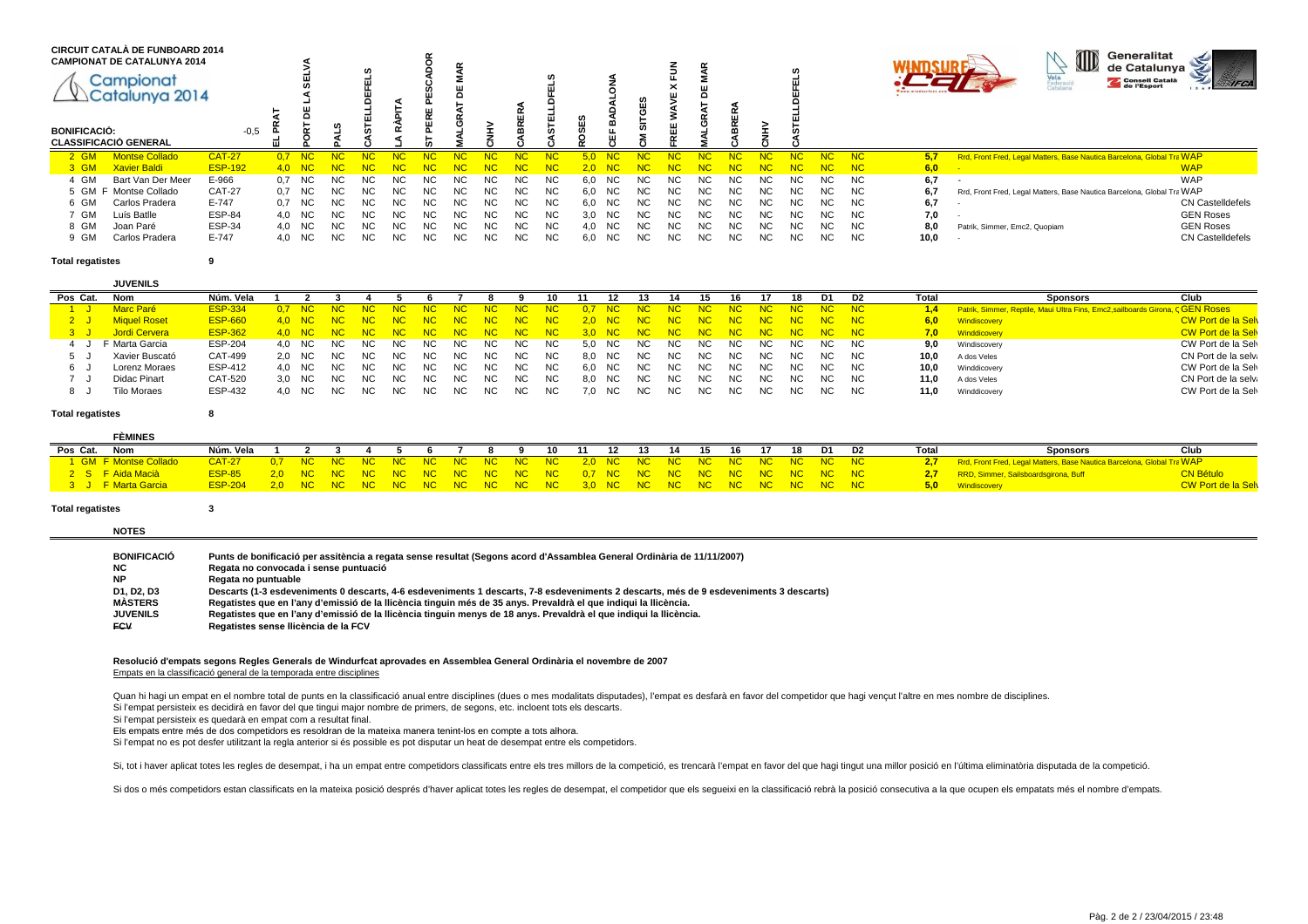| <b>BONIFICACIÓ:</b> | <b>CIRCUIT CATALÀ DE FUNBOARD 2014</b><br><b>CAMPIONAT DE CATALUNYA 2014</b><br>Campionat<br>Catalunya 2014<br><b>CLASSIFICACIÓ GENERAL</b> | $-0,5$         | ᆐ      |           | m         |           |           |                | ⌒   |           | ш<br>œ    |           | w<br>ш<br>c. | œ         | ဖာ<br>ш   | ~              |     |           |           |           |     |           | $\textcircled{\tiny{1}}$<br>Generalitat<br>de Catalunya<br>$\tilde{\mathcal{Z}}$<br>Vela<br>Consell Català<br>Catalana |
|---------------------|---------------------------------------------------------------------------------------------------------------------------------------------|----------------|--------|-----------|-----------|-----------|-----------|----------------|-----|-----------|-----------|-----------|--------------|-----------|-----------|----------------|-----|-----------|-----------|-----------|-----|-----------|------------------------------------------------------------------------------------------------------------------------|
| $2$ GM              | <b>Montse Collado</b>                                                                                                                       | <b>CAT-27</b>  | 0.7    | NC.       | <b>NC</b> | NC        | NC        | <b>NC</b>      |     | <b>NC</b> | NC        | <b>NC</b> |              | NC        | NC        | NC             |     | NC        | NC        | NC.       | NC. | NC        | 5.7<br>Rrd, Front Fred, Legal Matters, Base Nautica Barcelona, Global Tra WAP                                          |
| $3$ GM              | <b>Xavier Baldi</b>                                                                                                                         | <b>ESP-192</b> | 4.0    | - NC      | NG.       | NG.       |           | NG             |     | NC        | NC        | NC        |              | - NC-     | NC        |                |     | NC        |           | <b>NG</b> |     | NC        | <b>WAP</b><br>6,0                                                                                                      |
| 4 GM                | Bart Van Der Meer                                                                                                                           | E-966          | 0.7 NC |           | NC.       | NC.       | <b>NC</b> | NC.            | NC. | NC.       | NC.       | <b>NC</b> | 6.0          | NC        | <b>NC</b> | NC.            | NC. | NC.       | NC.       | NC.       | NC. | NC.       | WAP<br>6,7                                                                                                             |
|                     | 5 GM F Montse Collado                                                                                                                       | <b>CAT-27</b>  | 0.7 NC |           | NC.       | <b>NC</b> | <b>NC</b> | <b>NC</b>      | NC. | <b>NC</b> | <b>NC</b> | <b>NC</b> | 6.0          | NC.       | <b>NC</b> | <b>NC</b>      | NC. | <b>NC</b> | <b>NC</b> | <b>NC</b> | NC. | <b>NC</b> | 6,7<br>Rrd, Front Fred, Legal Matters, Base Nautica Barcelona, Global Tra WAP                                          |
| 6 GM                | Carlos Pradera                                                                                                                              | E-747          | 0.7    | <b>NC</b> | NC.       | NC.       | <b>NC</b> | N <sub>C</sub> | NC. | <b>NC</b> | <b>NC</b> | <b>NC</b> | 6.0          | NC.       | <b>NC</b> | N <sub>C</sub> | NC. | NC.       | <b>NC</b> | <b>NC</b> | NC. | NC.       | <b>CN CastelIdefels</b><br>6,7                                                                                         |
| ' GM                | Luís Batlle                                                                                                                                 | <b>ESP-84</b>  | 4.0    | <b>NC</b> | NC.       | <b>NC</b> | <b>NC</b> | <b>NC</b>      | NC. | <b>NC</b> | NC.       | <b>NC</b> | 3,0          | NC.       | <b>NC</b> | NC.            | NC. | NC.       | <b>NC</b> | <b>NC</b> | NC. | <b>NC</b> | 7,0<br><b>GEN Roses</b>                                                                                                |
| 8 GM                | Joan Paré                                                                                                                                   | <b>ESP-34</b>  | 4,0    | <b>NC</b> | NC.       | <b>NC</b> | <b>NC</b> | <b>NC</b>      | NC. | <b>NC</b> | NC.       | NC.       | 4,0          | <b>NC</b> | <b>NC</b> | <b>NC</b>      | NC. | <b>NC</b> | NC.       | <b>NC</b> | NC. | <b>NC</b> | <b>GEN Roses</b><br>8,0<br>Patrik, Simmer, Emc2, Quopiam                                                               |
| ⊢ GM                | Carlos Pradera                                                                                                                              | E-747          | 4,0    | NC.       | NC.       | NC.       | <b>NC</b> | <b>NC</b>      | NC. | ΝC        | ΝC        | NC        | 6,0          | NC        | <b>NC</b> | NC.            | NC. | NC.       | NC.       | NC.       | NC. | <b>NC</b> | 10,0<br><b>CN Castelldefels</b>                                                                                        |

### **Total regatistes<sup>9</sup>**

**JUVENILS**

|           | <b>JUVLIVILJ</b>   |                |        |      |       |                    |                          |      |      |      |                                   |        |           |    |                                |                                                      |      |             |       |       |       |                                                                               |                            |
|-----------|--------------------|----------------|--------|------|-------|--------------------|--------------------------|------|------|------|-----------------------------------|--------|-----------|----|--------------------------------|------------------------------------------------------|------|-------------|-------|-------|-------|-------------------------------------------------------------------------------|----------------------------|
| Pos Cat.  | Nom                | Núm. Vela      |        |      |       |                    |                          |      |      |      | 10.                               |        |           |    |                                |                                                      |      |             |       | D2    | Total | Club<br><b>Sponsors</b>                                                       |                            |
| <u>1J</u> | Marc Paré          | <b>ESP-334</b> |        |      |       |                    | 0.7 NC NC NC NC NC NC NC |      |      |      | NC NC                             |        |           |    | 0,7 NC NC NC NC                | $\overline{\phantom{a}}$ NC $\overline{\phantom{a}}$ |      | NC NC NC NC |       |       | 1.4   | Patrik, Simmer, Reptile, Maui Ultra Fins, Emc2, sailboards Girona, CGEN ROSES |                            |
|           | 2 J Miguel Roset   | ESP-660        |        |      |       |                    |                          |      |      |      | 4.0 NC NC NC NC NC NC NC NC NC NC |        |           |    | 2.0 NC NC NC NC NC             |                                                      |      | NC NC NC NC |       |       | 6.0   | Windiscovery                                                                  | <b>CW Port de la Selve</b> |
|           | 3 J Jordi Cervera  | ESP-362        |        |      |       |                    |                          |      |      |      | 4.0 NC NC NC NC NC NC NC NC NC NC |        |           |    | 3.0 NC NC NC NC NC NC NC NC NC |                                                      |      |             |       |       |       | 7,0 Winddicovery                                                              | <b>CW Port de la Selv</b>  |
|           | F Marta Garcia     | ESP-204        | 4.0 NC |      | NC NC | NC                 | NC.                      | NC . | NC . | NC . | NC.                               |        | 5,0 NC NC | NC | NC.                            | NC.                                                  | NC . | NC.         |       | NC NC | 9,0   | Windiscovery                                                                  | CW Port de la Selv         |
|           | Xavier Buscató     | CAT-499        |        |      |       | 2.0 NC NC NC NC NC |                          | NC . | NC . | NC 1 | NC.                               |        | 8,0 NC NC | NC | NC.                            | NC.                                                  | NC . | NC.         | NC .  | NC    | 10.0  | A dos Veles                                                                   | CN Port de la selva        |
|           | Lorenz Moraes      | ESP-412        | 4.0 NC | NC . | NC .  |                    | NC NC                    | NC.  | NC . | NC . | NC.                               |        | 6,0 NC NC | NC | NC.                            | NC.                                                  | NC.  | NC.         | NC NC |       | 10.0  | Winddicovery                                                                  | CW Port de la Selv         |
|           | Didac Pinart       | CAT-520        | 3.0 NC |      | NC NC |                    | NC NC                    | NC.  | NC . | NC . | NC.                               |        | 8,0 NC NC | NC | NC.                            | NC.                                                  | NC . | NC.         | NC.   | NC    | 11.0  | A dos Veles                                                                   | CN Port de la selva        |
|           | <b>Tilo Moraes</b> | ESP-432        | 4.0 NC | NC . | NC.   | NC .               | <b>NC</b>                | NC.  | NC.  | NC . | NC                                | 7.0 NC | NC.       | NC | NC.                            | NC.                                                  | NC.  | NC.         | NC .  |       | 11,0  | Winddicovery                                                                  | CW Port de la Sel          |
|           |                    |                |        |      |       |                    |                          |      |      |      |                                   |        |           |    |                                |                                                      |      |             |       |       |       |                                                                               |                            |

## **Total regatistes<sup>8</sup>**

|          | <b>FÈMINES</b>        |                                                                             |  |  |  |  |  |  |  |  |  |  |       |                                                                                   |                            |
|----------|-----------------------|-----------------------------------------------------------------------------|--|--|--|--|--|--|--|--|--|--|-------|-----------------------------------------------------------------------------------|----------------------------|
| Pos Cat. | Nom                   | Núm. Vela 1 2 3 4 5 6 7 8 9 10 11 12 13 14 15 16 17 18 D1 D2                |  |  |  |  |  |  |  |  |  |  | Total | <b>Sponsors</b>                                                                   | Club                       |
|          | 1 GM F Montse Collado |                                                                             |  |  |  |  |  |  |  |  |  |  |       | <b>2.7</b> Rrd, Front Fred, Legal Matters, Base Nautica Barcelona, Global Tra WAP |                            |
|          | 2 S. F. Aida Macià    | ESP-85 2.0 NC NC NC NC NC NC NC NC NC NC 0.7 NC NC NC NC NC NC NC NC NC NC  |  |  |  |  |  |  |  |  |  |  |       | 2,7 RRD, Simmer, Sailsboardsgirona, Buff                                          | <b>CN Bétulo</b>           |
|          | 3 J F Marta Garcia    | ESP-204 2.0 NC NC NC NC NC NC NC NC NC NC 3.0 NC NC NC NC NC NC NC NC NC NC |  |  |  |  |  |  |  |  |  |  |       | 5.0 Windiscovery                                                                  | <b>CW Port de la Selve</b> |

## **Total regatistes<sup>3</sup>**

|  | <b>NOTES</b> |  |
|--|--------------|--|
|  |              |  |
|  |              |  |

| Punts de bonificació per assitència a regata sense resultat (Segons acord d'Assamblea General Ordinària de 11/11/2007)                 |
|----------------------------------------------------------------------------------------------------------------------------------------|
| Regata no convocada i sense puntuació                                                                                                  |
| Regata no puntuable                                                                                                                    |
| Descarts (1-3 esdeveniments 0 descarts, 4-6 esdeveniments 1 descarts, 7-8 esdeveniments 2 descarts, més de 9 esdeveniments 3 descarts) |
| Regatistes que en l'any d'emissió de la llicència tinguin més de 35 anys. Prevaldrà el que indiqui la llicència.                       |
| Regatistes que en l'any d'emissió de la llicència tinguin menys de 18 anys. Prevaldrà el que indiqui la llicència.                     |
| Regatistes sense llicència de la FCV                                                                                                   |
|                                                                                                                                        |

## **Resolució d'empats segons Regles Generals de Windurfcat aprovades en Assemblea General Ordinària el novembre de 2007**Empats en la classificació general de la temporada entre disciplines

Quan hi hagi un empat en el nombre total de punts en la classificació anual entre disciplines (dues o mes modalitats disputades), l'empat es desfarà en favor del competidor que hagi vencut l'altre en mes nombre de discipli Si l'empat persisteix es decidirà en favor del que tingui major nombre de primers, de segons, etc. incloent tots els descarts.

Si l'empat persisteix es quedarà en empat com a resultat final.

Els empats entre més de dos competidors es resoldran de la mateixa manera tenint-los en compte a tots alhora.

Si l'empat no es pot desfer utilitzant la regla anterior si és possible es pot disputar un heat de desempat entre els competidors.

Si, tot i haver aplicat totes les regles de desempat, i ha un empat entre competidors classificats entre els tres millors de la competició, es trencarà l'empat en favor del que hagi tingut una millor posició en l'última el

Si dos o més competidors estan classificats en la mateixa posició després d'haver aplicat totes les regles de desempat, el competidor que els sequeixi en la classificació rebrà la posició consecutiva a la que ocupen els em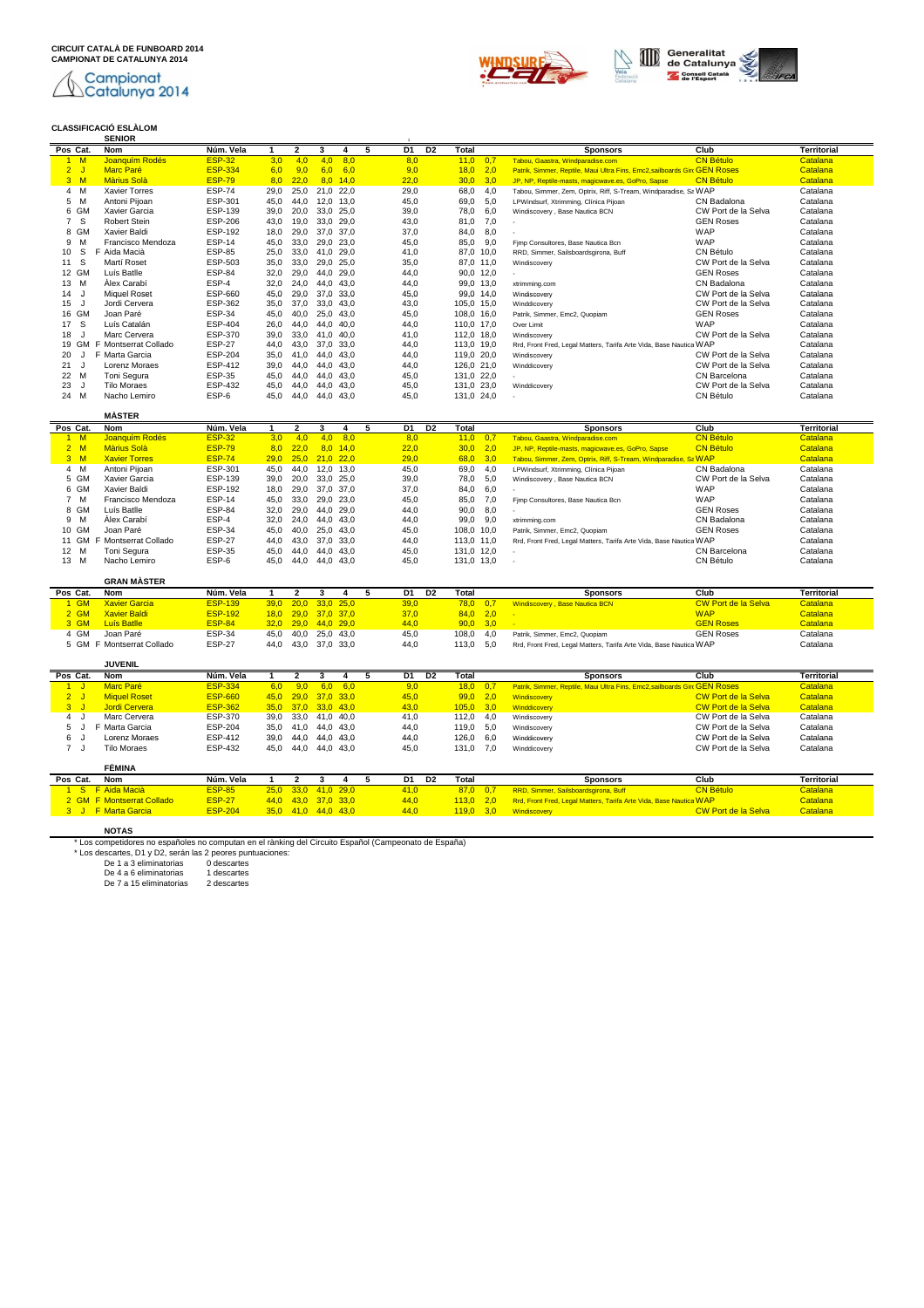Campionat<br><u>N</u>Catalunya 2014 L

# **CLASSIFICACIÓ ESLÀLOM SENIOR** <sup>1</sup>





| Pos Cat.             | <b>Nom</b>                 | Núm. Vela      | $\mathbf{1}$ | $\mathbf{z}$                | 3              | 4          | 5 | D1             | D <sub>2</sub> | <b>Total</b> |                          | <b>Sponsors</b>                                                           | Club                       | <b>Territorial</b> |
|----------------------|----------------------------|----------------|--------------|-----------------------------|----------------|------------|---|----------------|----------------|--------------|--------------------------|---------------------------------------------------------------------------|----------------------------|--------------------|
| 1 M                  | Joanquím Rodés             | <b>ESP-32</b>  | 3,0          | 4.0                         | 4.0            | 8.0        |   | 8,0            |                | 11,0         | 0.7                      | Tabou, Gaastra, Windparadise.com                                          | <b>CN Bétulo</b>           | Catalana           |
| $\overline{2}$<br>J. | <b>Marc Paré</b>           | <b>ESP-334</b> | 6,0          | 9,0                         | 6,0            | 6.0        |   | 9,0            |                | 18,0         | 2,0                      | Patrik, Simmer, Reptile, Maui Ultra Fins, Emc2, sailboards Girc GEN Roses |                            | Catalana           |
| $3 \, M$             | <b>Màrius Solà</b>         | <b>ESP-79</b>  | 8,0          | 22,0                        |                | $8.0$ 14.0 |   | 22,0           |                | 30,0         | 3,0                      | JP, NP, Reptile-masts, magicwave.es, GoPro, Sapse                         | <b>CN Bétulo</b>           | Catalana           |
| 4 M                  | <b>Xavier Torres</b>       | <b>ESP-74</b>  | 29.0         | 25,0                        | 21,0 22,0      |            |   | 29.0           |                | 68.0         | 4,0                      | Tabou, Simmer, Zem, Optrix, Riff, S-Tream, Windparadise, Sa WAP           |                            | Catalana           |
| M<br>5               | Antoni Piioan              | ESP-301        | 45.0         | 44,0                        | 12.0 13.0      |            |   | 45.0           |                | 69,0         | 5.0                      | LPWindsurf, Xtrimming, Clínica Pijoan                                     | CN Badalona                | Catalana           |
| 6 GM                 | Xavier Garcia              | ESP-139        | 39,0         | 20,0                        | 33,0 25,0      |            |   | 39,0           |                | 78,0         | 6,0                      | Windiscovery, Base Nautica BCN                                            | CW Port de la Selva        | Catalana           |
| S<br>$\overline{7}$  | Robert Stein               | <b>ESP-206</b> | 43,0         | 19,0                        | 33,0 29,0      |            |   | 43,0           |                | 81,0         | 7,0                      |                                                                           | <b>GEN Roses</b>           | Catalana           |
| 8 GM                 | Xavier Baldi               | ESP-192        | 18,0         | 29,0                        | 37,0 37,0      |            |   | 37,0           |                | 84,0         | 8,0                      |                                                                           | <b>WAP</b>                 | Catalana           |
| M<br>9               | Francisco Mendoza          | <b>ESP-14</b>  | 45,0         | 33,0                        | 29,0 23,0      |            |   | 45,0           |                | 85,0         | 9,0                      | Fimp Consultores, Base Nautica Bcn                                        | <b>WAP</b>                 | Catalana           |
| S<br>10              | F Aida Macià               | <b>ESP-85</b>  | 25,0         | 33,0                        | 41,0 29,0      |            |   | 41,0           |                | 87,0 10,0    |                          | RRD, Simmer, Sailsboardsgirona, Buff                                      | CN Bétulo                  | Catalana           |
| s<br>11              | Martí Roset                | ESP-503        | 35,0         | 33,0                        | 29,0 25,0      |            |   | 35,0           |                | 87,0 11,0    |                          | Windiscovery                                                              | CW Port de la Selva        | Catalana           |
| 12 GM                | Luís Batlle                | <b>ESP-84</b>  | 32,0         | 29,0                        | 44.0 29.0      |            |   | 44,0           |                | 90,0 12,0    |                          |                                                                           | <b>GEN Roses</b>           | Catalana           |
| 13<br>M              | Álex Carabí                | ESP-4          | 32,0         | 24,0                        | 44.0           | 43.0       |   | 44,0           |                | 99,0 13,0    |                          | xtrimming.com                                                             | CN Badalona                | Catalana           |
| J<br>14              | <b>Miquel Roset</b>        | ESP-660        | 45,0         | 29,0                        | 37,0 33,0      |            |   | 45,0           |                | 99,0 14,0    |                          | Windiscovery                                                              | CW Port de la Selva        | Catalana           |
| 15<br>J              | Jordi Cervera              | ESP-362        | 35,0         | 37,0                        | 33,0 43,0      |            |   | 43,0           |                | 105,0 15,0   |                          | Winddicovery                                                              | CW Port de la Selva        | Catalana           |
| GM<br>16             | Joan Paré                  | <b>ESP-34</b>  | 45,0         | 40,0                        | 25,0 43,0      |            |   | 45.0           |                | 108.0 16.0   |                          | Patrik, Simmer, Emc2, Quopiam                                             | <b>GEN Roses</b>           | Catalana           |
| S<br>17              | Luís Catalán               | <b>ESP-404</b> | 26,0         | 44,0                        | 44,0 40,0      |            |   | 44,0           |                | 110,0 17,0   |                          | Over Limit                                                                | <b>WAP</b>                 | Catalana           |
| 18<br>J              | Marc Cervera               | <b>ESP-370</b> | 39,0         | 33,0                        | 41.0 40.0      |            |   | 41,0           |                | 112,0 18,0   |                          | Windiscovery                                                              | CW Port de la Selva        | Catalana           |
|                      | 19 GM F Montserrat Collado | <b>ESP-27</b>  | 44,0         | 43,0                        | 37,0 33,0      |            |   | 44,0           |                | 113,0 19,0   |                          | Rrd, Front Fred, Legal Matters, Tarifa Arte Vida, Base Nautica WAP        |                            | Catalana           |
| 20<br>IJ             | F Marta Garcia             | <b>ESP-204</b> | 35,0         | 41,0                        | 44.0 43.0      |            |   | 44,0           |                | 119,0 20,0   |                          | Windiscovery                                                              | CW Port de la Selva        | Catalana           |
| J<br>21              | Lorenz Moraes              | <b>ESP-412</b> | 39,0         | 44,0                        | 44,0 43,0      |            |   | 44,0           |                | 126,0 21,0   |                          | Winddicovery                                                              | CW Port de la Selva        | Catalana           |
| 22<br>M              | Toni Segura                | <b>ESP-35</b>  | 45,0         | 44,0                        | 44,0 43,0      |            |   | 45,0           |                | 131,0 22,0   |                          |                                                                           | CN Barcelona               | Catalana           |
| 23<br>J              | <b>Tilo Moraes</b>         | <b>ESP-432</b> | 45,0         | 44,0                        | 44,0 43,0      |            |   | 45,0           |                | 131,0 23,0   |                          | Winddicovery                                                              | CW Port de la Selva        | Catalana           |
| M<br>24              | Nacho Lemiro               | ESP-6          | 45.0         | 44.0                        | 44.0 43.0      |            |   | 45.0           |                | 131,0 24,0   |                          |                                                                           | CN Bétulo                  | Catalana           |
|                      |                            |                |              |                             |                |            |   |                |                |              |                          |                                                                           |                            |                    |
|                      | <b>MÁSTER</b>              |                |              |                             |                |            |   |                |                |              |                          |                                                                           |                            |                    |
| Pos Cat.             | <b>Nom</b>                 | Núm. Vela      | $\mathbf{1}$ | $\overline{\mathbf{2}}$     | 3              | 4          | 5 | D <sub>1</sub> | D <sub>2</sub> | Total        |                          | <b>Sponsors</b>                                                           | Club                       | <b>Territorial</b> |
| 1 M                  | Joanquím Rodés             | <b>ESP-32</b>  | 3.0          | 4.0                         | 4.0            | 8.0        |   | 8,0            |                | 11,0         | 0,7                      | Tabou, Gaastra, Windparadise.com                                          | <b>CN Bétulo</b>           | Catalana           |
| 2 M                  | <b>Màrius Solà</b>         | <b>ESP-79</b>  | 8,0          | 22,0                        |                | $8,0$ 14,0 |   | 22,0           |                | 30,0         | 2,0                      | JP, NP, Reptile-masts, magicwave.es, GoPro, Sapse                         | <b>CN Bétulo</b>           | Catalana           |
| $3 \, M$             | <b>Xavier Torres</b>       | <b>ESP-74</b>  | 29,0         | 25,0                        | $21,0$ 22,0    |            |   | 29,0           |                | 68,0         | 3,0                      | Tabou, Simmer, Zem, Optrix, Riff, S-Tream, Windparadise, Sa WAP           |                            | Catalana           |
| 4 M                  | Antoni Pijoan              | ESP-301        | 45,0         | 44,0                        | 12,0 13,0      |            |   | 45,0           |                | 69,0         | 4,0                      | LPWindsurf, Xtrimming, Clínica Pijoan                                     | CN Badalona                | Catalana           |
| 5 GM                 | Xavier Garcia              | <b>ESP-139</b> | 39,0         | 20,0                        | 33,0 25,0      |            |   | 39,0           |                | 78,0         | 5,0                      | Windiscovery, Base Nautica BCN                                            | CW Port de la Selva        | Catalana           |
| 6 GM                 | Xavier Baldi               | <b>ESP-192</b> | 18.0         | 29,0                        | 37.0 37.0      |            |   | 37.0           |                | 84,0         | 6.0                      |                                                                           | <b>WAP</b>                 | Catalana           |
| 7 M                  | Francisco Mendoza          | <b>ESP-14</b>  | 45,0         | 33,0                        | 29,0 23,0      |            |   | 45,0           |                | 85,0         | 7,0                      | Fimp Consultores, Base Nautica Bcn                                        | WAP                        | Catalana           |
| 8 GM                 | Luís Batlle                | <b>ESP-84</b>  | 32,0         | 29,0                        | 44.0 29.0      |            |   | 44,0           |                | 90,0         | 8,0                      |                                                                           | <b>GEN Roses</b>           | Catalana           |
| 9<br>M               | Álex Carabí                | ESP-4          | 32,0         | 24.0                        | 44.0 43.0      |            |   | 44,0           |                | 99,0 9,0     |                          | xtrimming.com                                                             | CN Badalona                | Catalana           |
| 10 GM                | Joan Paré                  | <b>ESP-34</b>  | 45,0         | 40,0                        | 25,0 43,0      |            |   | 45,0           |                | 108,0 10,0   |                          | Patrik, Simmer, Emc2, Quopiam                                             | <b>GEN Roses</b>           | Catalana           |
| GM<br>11             | F Montserrat Collado       | <b>ESP-27</b>  | 44,0         | 43,0                        | 37,0 33,0      |            |   | 44,0           |                | 113,0 11,0   |                          | Rrd, Front Fred, Legal Matters, Tarifa Arte Vida, Base Nautica WAP        |                            | Catalana           |
| 12<br>M              | Toni Segura                | <b>ESP-35</b>  | 45,0         | 44,0                        | 44.0 43.0      |            |   | 45,0           |                | 131,0 12,0   |                          | a.                                                                        | CN Barcelona               | Catalana           |
| 13 M                 | Nacho Lemiro               | ESP-6          | 45.0         | 44.0                        | 44.0 43.0      |            |   | 45.0           |                | 131.0 13.0   |                          | ×.                                                                        | CN Bétulo                  | Catalana           |
|                      | <b>GRAN MÀSTER</b>         |                |              |                             |                |            |   |                |                |              |                          |                                                                           |                            |                    |
| Pos Cat.             | <b>Nom</b>                 | Núm. Vela      | $\mathbf{1}$ | $\mathbf{2}$                | 3              | 4          | 5 | D1             | D <sub>2</sub> | Total        |                          | <b>Sponsors</b>                                                           | Club                       | <b>Territorial</b> |
| 1 GM                 | <b>Xavier Garcia</b>       | <b>ESP-139</b> | 39.0         | 20.0                        | 33.0 25.0      |            |   | 39,0           |                | 78.0         | 0.7                      | Windiscovery, Base Nautica BCN                                            | <b>CW Port de la Selva</b> | Catalana           |
| $2$ GM               | <b>Xavier Baldi</b>        | <b>ESP-192</b> | 18,0         |                             | 29,0 37,0 37,0 |            |   | 37,0           |                | 84,0         | 2,0                      | ×.                                                                        | <b>WAP</b>                 | Catalana           |
| 3 GM                 | <b>Luís Batlle</b>         | <b>ESP-84</b>  |              | $32.0$ $29.0$ $44.0$ $29.0$ |                |            |   | 44.0           |                |              | $90.0 \quad 3.0 \quad -$ |                                                                           | <b>GEN Roses</b>           | Catalana           |

3 GM Luís Batlle ESP-84 32,0 29,0 44,0 29,0 44,0 90,0 3,0 - GEN Roses Catalana 4 GM Joan Paré ESP-34 45,0 40,0 25,0 43,0 45,0 108,0 4,0 Patrik, Simmer, Emc2, Quopiam GEN Roses Catalana 5 GM F Montserrat Collado ESP-27 44,0 43,0 37,0 33,0 44,0 113,0 5,0 Rrd, Front Fred, Legal Matters, Tarifa Arte Vida, Base Nautica BCN, Global Translators WAP Catalana **JUVENIL**

| Pos Cat. | Nom                 | Núm. Vela      |                       |                     |                | D1   | D2 | Total           |     | <b>Sponsors</b>                                                           | Club                | Territorial |
|----------|---------------------|----------------|-----------------------|---------------------|----------------|------|----|-----------------|-----|---------------------------------------------------------------------------|---------------------|-------------|
|          | Marc Paré           | <b>ESP-334</b> | 6.0                   | $9.0^{\circ}$       | $6.0\quad 6.0$ | 9,0  |    | $18.0\quad 0.7$ |     | Patrik, Simmer, Reptile, Maui Ultra Fins, Emc2, sailboards Girc GEN ROSES |                     | Catalana    |
|          | <b>Miquel Roset</b> | <b>ESP-660</b> | $45,0$ 29,0 37,0 33,0 |                     |                | 45,0 |    | $99.0\quad 2.0$ |     | Windiscovery                                                              | CW Port de la Selva | Catalana    |
|          | Jordi Cervera       | <b>ESP-362</b> | 35.0 37.0 33.0 43.0   |                     |                | 43,0 |    | $105.0$ 3.0     |     | Winddicovery                                                              | CW Port de la Selva | Catalana    |
|          | Marc Cervera        | ESP-370        | 39.0 33.0 41.0 40.0   |                     |                | 41.0 |    | 112.0           | 4.0 | Windiscoverv                                                              | CW Port de la Selva | Catalana    |
|          | Marta Garcia        | <b>ESP-204</b> | 35.0 41.0 44.0 43.0   |                     |                | 44.0 |    | 119,0 5,0       |     | Windiscoverv                                                              | CW Port de la Selva | Catalana    |
| 6 J      | Lorenz Moraes       | ESP-412        | 39.0                  | 44.0 44.0 43.0      |                | 44.0 |    | 126.0 6.0       |     | Winddicoverv                                                              | CW Port de la Selva | Catalana    |
|          | Tilo Moraes         | ESP-432        |                       | 45,0 44,0 44,0 43,0 |                | 45.0 |    | 131.0           | 7.0 | Winddicoverv                                                              | CW Port de la Selva | Catalana    |

| FÉMINA                    |                |                       |  |  |      |    |                  |                                                                    |                            |                       |
|---------------------------|----------------|-----------------------|--|--|------|----|------------------|--------------------------------------------------------------------|----------------------------|-----------------------|
| Nom<br>Pos Cat.           | Núm. Vela      |                       |  |  | D1   | D2 | Total            | <b>Sponsors</b>                                                    | Club                       | Territoria.           |
| 1 S F Aida Macià          | <b>ESP-85</b>  | 25.0 33.0 41.0 29.0   |  |  | 41.0 |    | $87.0 \quad 0.7$ | RRD, Simmer, Sailsboardsgirona, Buff                               | <b>CN Bétulo</b>           | Catalana <sup>l</sup> |
| 2 GM F Montserrat Collado | <b>ESP-27</b>  | $44.0$ 43.0 37.0 33.0 |  |  | 44.0 |    | $113.0$ 2.0      | Rrd, Front Fred, Legal Matters, Tarifa Arte Vida, Base Nautica WAP |                            | Catalana              |
| 3 J F Marta Garcia        | <b>ESP-204</b> | 35.0 41.0 44.0 43.0   |  |  | 44.0 |    | $119.0$ 3.0      | Windiscovery                                                       | <b>CW Port de la Selva</b> | Catalana              |

NOTAS<br>
"Los completares no españoles no computan en el rànking del Circuito Español (Campeonato de España)<br>
"Los descartes, D1 y D2, serán las 2 peores puntuaciones:<br>
De 1 a 3 eliminatorias descartes<br>
De 4 a 6 eliminatoria